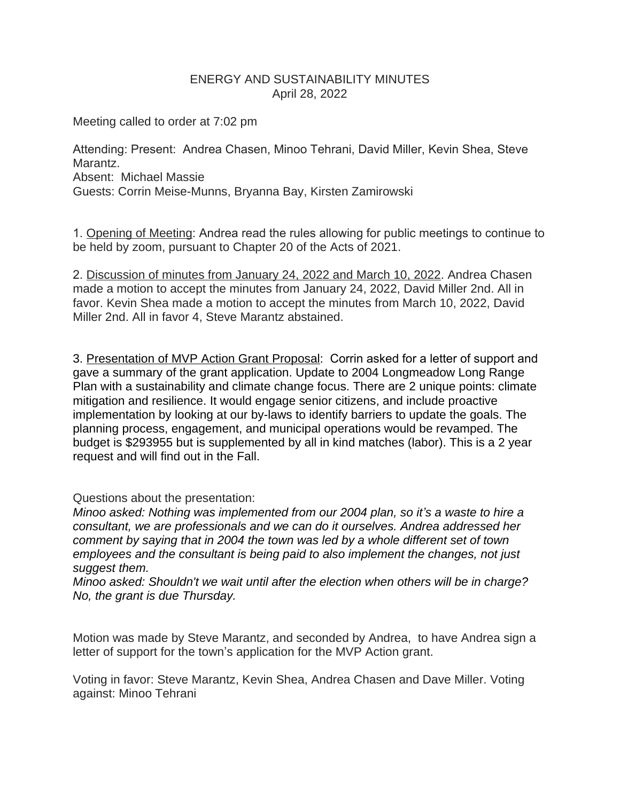## ENERGY AND SUSTAINABILITY MINUTES April 28, 2022

Meeting called to order at 7:02 pm

Attending: Present: Andrea Chasen, Minoo Tehrani, David Miller, Kevin Shea, Steve Marantz. Absent: Michael Massie Guests: Corrin Meise-Munns, Bryanna Bay, Kirsten Zamirowski

1. Opening of Meeting: Andrea read the rules allowing for public meetings to continue to be held by zoom, pursuant to Chapter 20 of the Acts of 2021.

2. Discussion of minutes from January 24, 2022 and March 10, 2022. Andrea Chasen made a motion to accept the minutes from January 24, 2022, David Miller 2nd. All in favor. Kevin Shea made a motion to accept the minutes from March 10, 2022, David Miller 2nd. All in favor 4, Steve Marantz abstained.

3. Presentation of MVP Action Grant Proposal: Corrin asked for a letter of support and gave a summary of the grant application. Update to 2004 Longmeadow Long Range Plan with a sustainability and climate change focus. There are 2 unique points: climate mitigation and resilience. It would engage senior citizens, and include proactive implementation by looking at our by-laws to identify barriers to update the goals. The planning process, engagement, and municipal operations would be revamped. The budget is \$293955 but is supplemented by all in kind matches (labor). This is a 2 year request and will find out in the Fall.

Questions about the presentation:

*Minoo asked: Nothing was implemented from our 2004 plan, so it's a waste to hire a consultant, we are professionals and we can do it ourselves. Andrea addressed her comment by saying that in 2004 the town was led by a whole different set of town employees and the consultant is being paid to also implement the changes, not just suggest them.* 

*Minoo asked: Shouldn't we wait until after the election when others will be in charge? No, the grant is due Thursday.*

Motion was made by Steve Marantz, and seconded by Andrea, to have Andrea sign a letter of support for the town's application for the MVP Action grant.

Voting in favor: Steve Marantz, Kevin Shea, Andrea Chasen and Dave Miller. Voting against: Minoo Tehrani